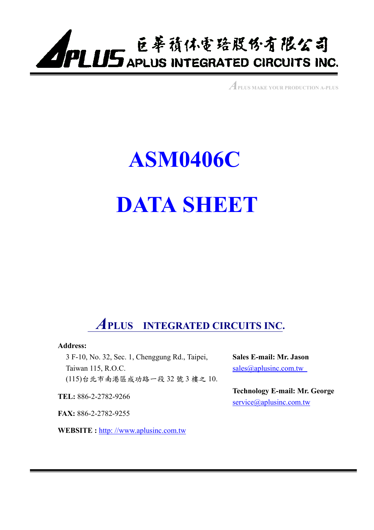

*A***PLUS MAKE YOUR PRODUCTION A-PLUS**

# **ASM0406C DATA SHEET**

# *A***PLUS INTEGRATED CIRCUITS INC.**

#### **Address:**

3 F-10, No. 32, Sec. 1, Chenggung Rd., Taipei, Taiwan 115, R.O.C. (115)台北市南港區成功路㆒段 32 號 3 樓之 10.

**TEL:** 886-2-2782-9266

**FAX:** 886-2-2782-9255

**WEBSITE :** http: //www.aplusinc.com.tw

**Sales E-mail: Mr. Jason**  sales@aplusinc.com.tw

**Technology E-mail: Mr. George**  service@aplusinc.com.tw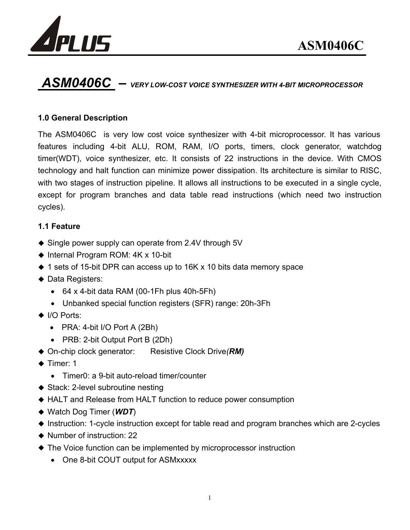



## *ASM0406C – VERY LOW-COST VOICE SYNTHESIZER WITH 4-BIT MICROPROCESSOR*

#### **1.0 General Description**

The ASM0406C is very low cost voice synthesizer with 4-bit microprocessor. It has various features including 4-bit ALU, ROM, RAM, I/O ports, timers, clock generator, watchdog timer(WDT), voice synthesizer, etc. It consists of 22 instructions in the device. With CMOS technology and halt function can minimize power dissipation. Its architecture is similar to RISC, with two stages of instruction pipeline. It allows all instructions to be executed in a single cycle, except for program branches and data table read instructions (which need two instruction cycles).

#### **1.1 Feature**

- ◆ Single power supply can operate from 2.4V through 5V
- ◆ Internal Program ROM: 4K x 10-bit
- ◆ 1 sets of 15-bit DPR can access up to 16K x 10 bits data memory space
- ◆ Data Registers:
	- $\bullet$  64 x 4-bit data RAM (00-1Fh plus 40h-5Fh)
	- Unbanked special function registers (SFR) range: 20h-3Fh
- ◆ I/O Ports:
	- PRA: 4-bit I/O Port A (2Bh)
	- PRB: 2-bit Output Port B (2Dh)
- ◆ On-chip clock generator: Resistive Clock Drive(*RM*)
- $\triangle$  Timer: 1
	- Timer0: a 9-bit auto-reload timer/counter
- ◆ Stack: 2-level subroutine nesting
- ◆ HALT and Release from HALT function to reduce power consumption
- Watch Dog Timer (*WDT*)
- Instruction: 1-cycle instruction except for table read and program branches which are 2-cycles
- ◆ Number of instruction: 22
- The Voice function can be implemented by microprocessor instruction
	- One 8-bit COUT output for ASMxxxxx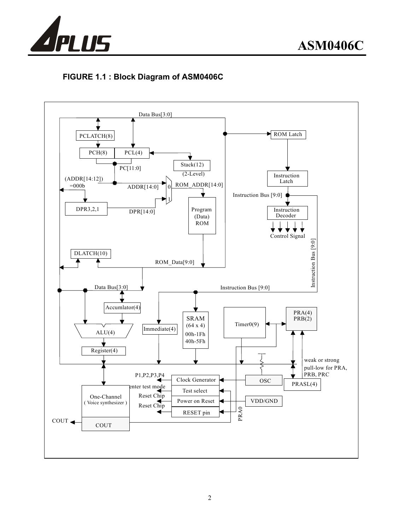

#### **FIGURE 1.1 : Block Diagram of ASM0406C**

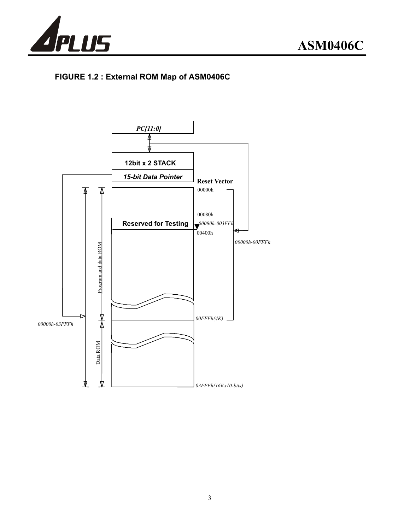

### **FIGURE 1.2 : External ROM Map of ASM0406C**

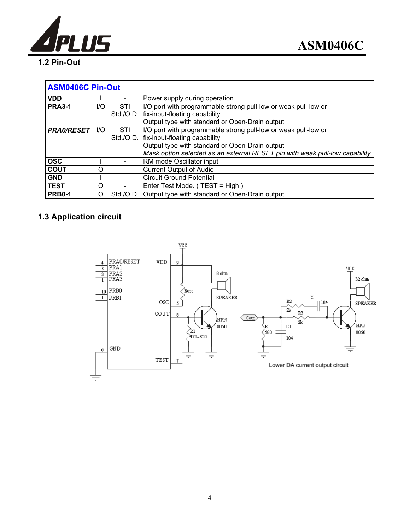

#### **1.2 Pin-Out**

| <b>ASM0406C Pin-Out</b> |      |           |                                                                             |  |  |  |  |  |
|-------------------------|------|-----------|-----------------------------------------------------------------------------|--|--|--|--|--|
| <b>VDD</b>              |      |           | Power supply during operation                                               |  |  |  |  |  |
| <b>PRA3-1</b>           | $II$ | STI       | I/O port with programmable strong pull-low or weak pull-low or              |  |  |  |  |  |
|                         |      |           | Std./O.D.   fix-input-floating capability                                   |  |  |  |  |  |
|                         |      |           | Output type with standard or Open-Drain output                              |  |  |  |  |  |
| <b>PRA0/RESET</b>       | $II$ | STI       | I/O port with programmable strong pull-low or weak pull-low or              |  |  |  |  |  |
|                         |      |           | Std./O.D.   fix-input-floating capability                                   |  |  |  |  |  |
|                         |      |           | Output type with standard or Open-Drain output                              |  |  |  |  |  |
|                         |      |           | Mask option selected as an external RESET pin with weak pull-low capability |  |  |  |  |  |
| <b>OSC</b>              |      |           | RM mode Oscillator input                                                    |  |  |  |  |  |
| <b>COUT</b>             | O    |           | <b>Current Output of Audio</b>                                              |  |  |  |  |  |
| <b>GND</b>              |      |           | <b>Circuit Ground Potential</b>                                             |  |  |  |  |  |
| <b>TEST</b>             | O    |           | Enter Test Mode. (TEST = High)                                              |  |  |  |  |  |
| <b>PRB0-1</b>           | Ω    | Std./O.D. | Output type with standard or Open-Drain output                              |  |  |  |  |  |

### **1.3 Application circuit**

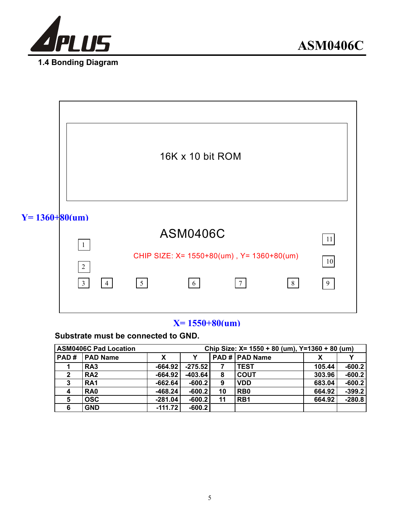



#### **Substrate must be connected to GND.**

|                         | <b>ASM0406C Pad Location</b> | Chip Size: X= 1550 + 80 (um), Y=1360 + 80 (um) |           |    |                       |        |          |  |
|-------------------------|------------------------------|------------------------------------------------|-----------|----|-----------------------|--------|----------|--|
| PAD#                    | <b>PAD Name</b>              | X                                              |           |    | <b>PAD # PAD Name</b> |        |          |  |
|                         | RA <sub>3</sub>              | $-664.92$                                      | $-275.52$ | 7  | <b>TEST</b>           | 105.44 | $-600.2$ |  |
| $\overline{\mathbf{2}}$ | RA <sub>2</sub>              | $-664.92$                                      | $-403.64$ | 8  | <b>COUT</b>           | 303.96 | $-600.2$ |  |
| 3                       | RA <sub>1</sub>              | $-662.64$                                      | $-600.2$  | 9  | <b>VDD</b>            | 683.04 | $-600.2$ |  |
| 4                       | RA <sub>0</sub>              | $-468.24$                                      | $-600.2$  | 10 | R <sub>B</sub> 0      | 664.92 | $-399.2$ |  |
| 5                       | <b>OSC</b>                   | $-281.04$                                      | $-600.2$  | 11 | RB <sub>1</sub>       | 664.92 | $-280.8$ |  |
| 6                       | <b>GND</b>                   | $-111.72$                                      | $-600.2$  |    |                       |        |          |  |